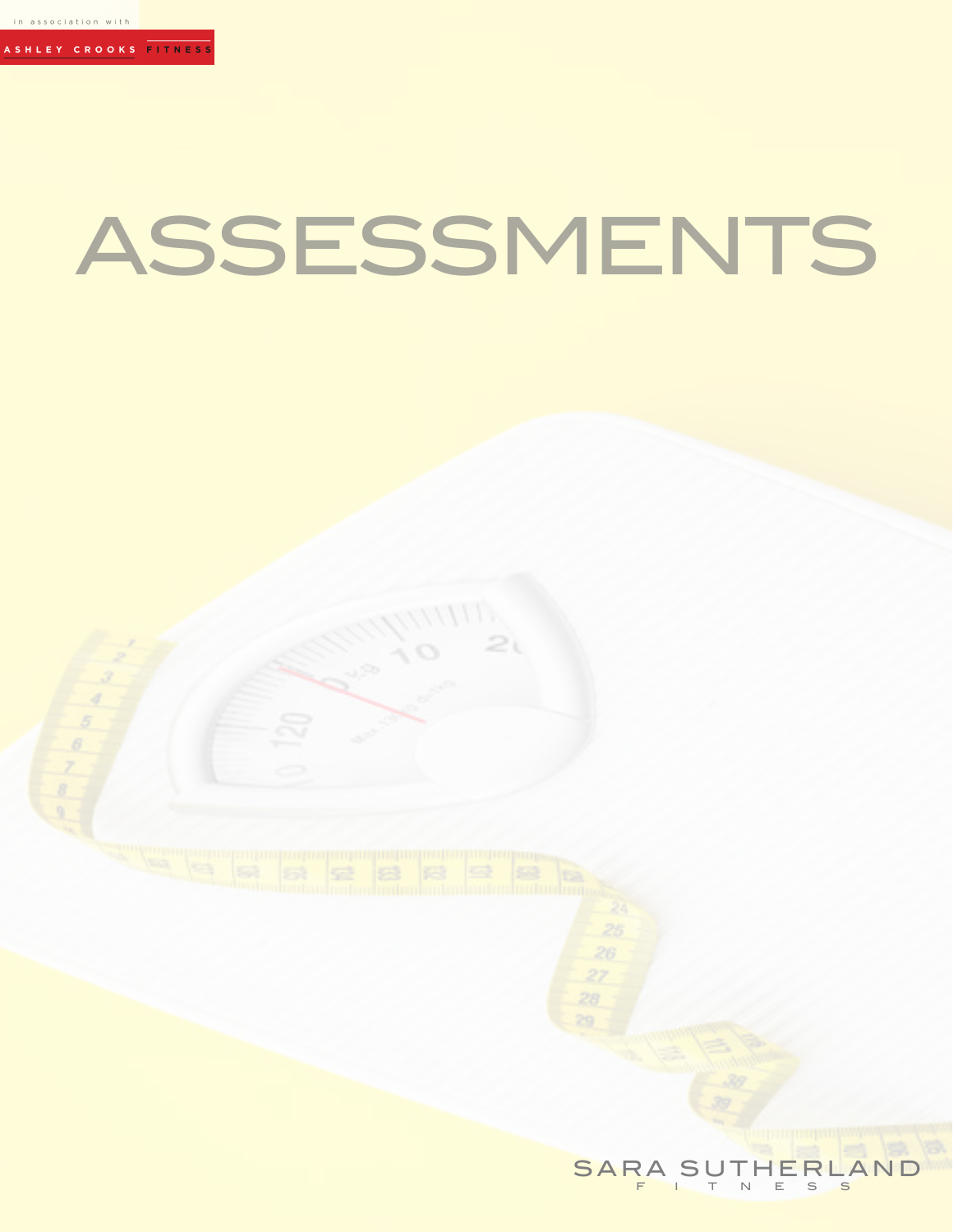#### **FITNES**

# ASSESSMENTS

SARA SUTHERLAND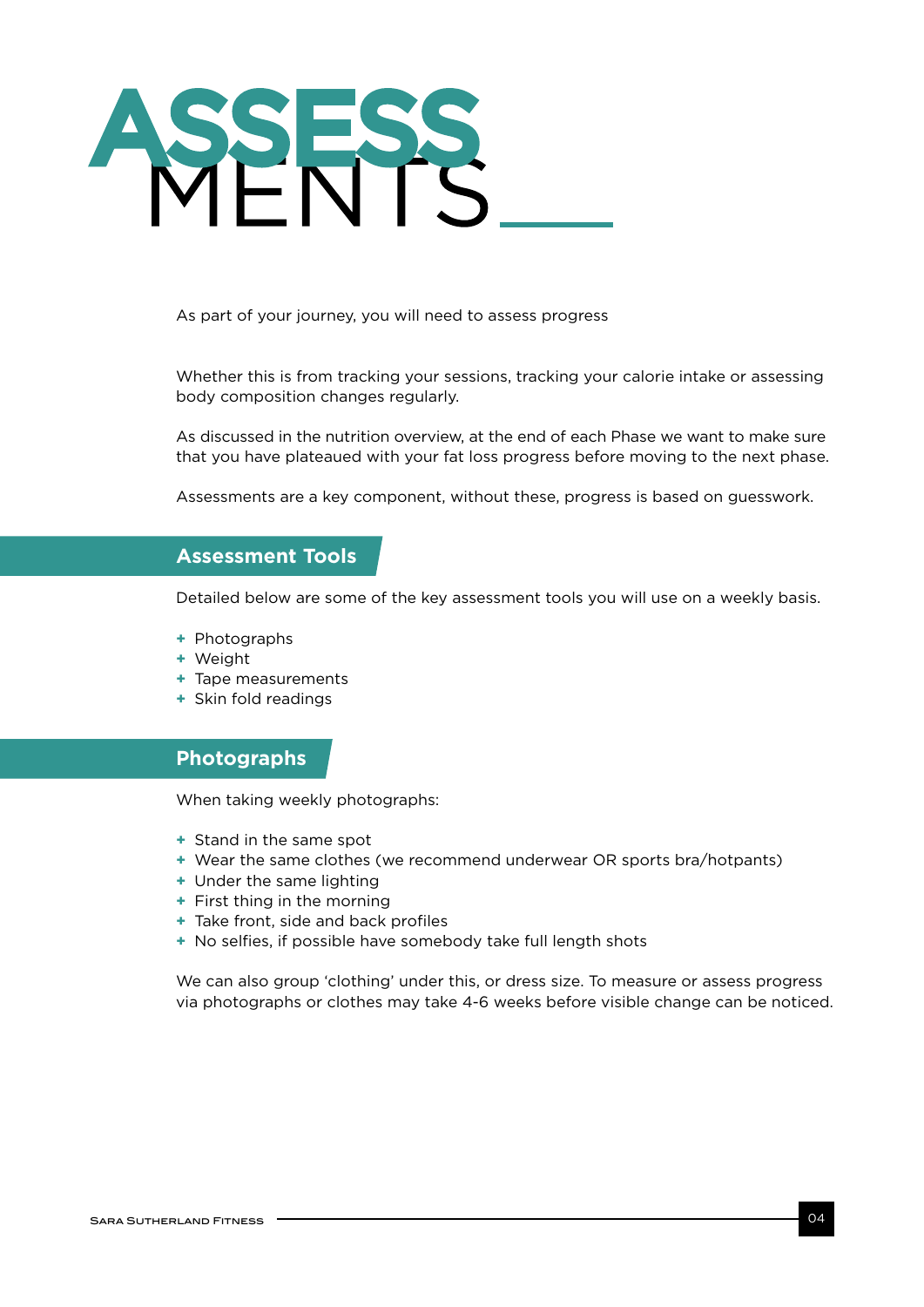

As part of your journey, you will need to assess progress

Whether this is from tracking your sessions, tracking your calorie intake or assessing body composition changes regularly.

As discussed in the nutrition overview, at the end of each Phase we want to make sure that you have plateaued with your fat loss progress before moving to the next phase.

Assessments are a key component, without these, progress is based on guesswork.

# **Assessment Tools**

Detailed below are some of the key assessment tools you will use on a weekly basis.

- **+** Photographs
- **+** Weight
- **+** Tape measurements
- **+** Skin fold readings

### **Photographs**

When taking weekly photographs:

- **+** Stand in the same spot
- **+** Wear the same clothes (we recommend underwear OR sports bra/hotpants)
- **+** Under the same lighting
- **+** First thing in the morning
- **+** Take front, side and back profiles
- **+** No selfies, if possible have somebody take full length shots

We can also group 'clothing' under this, or dress size. To measure or assess progress via photographs or clothes may take 4-6 weeks before visible change can be noticed.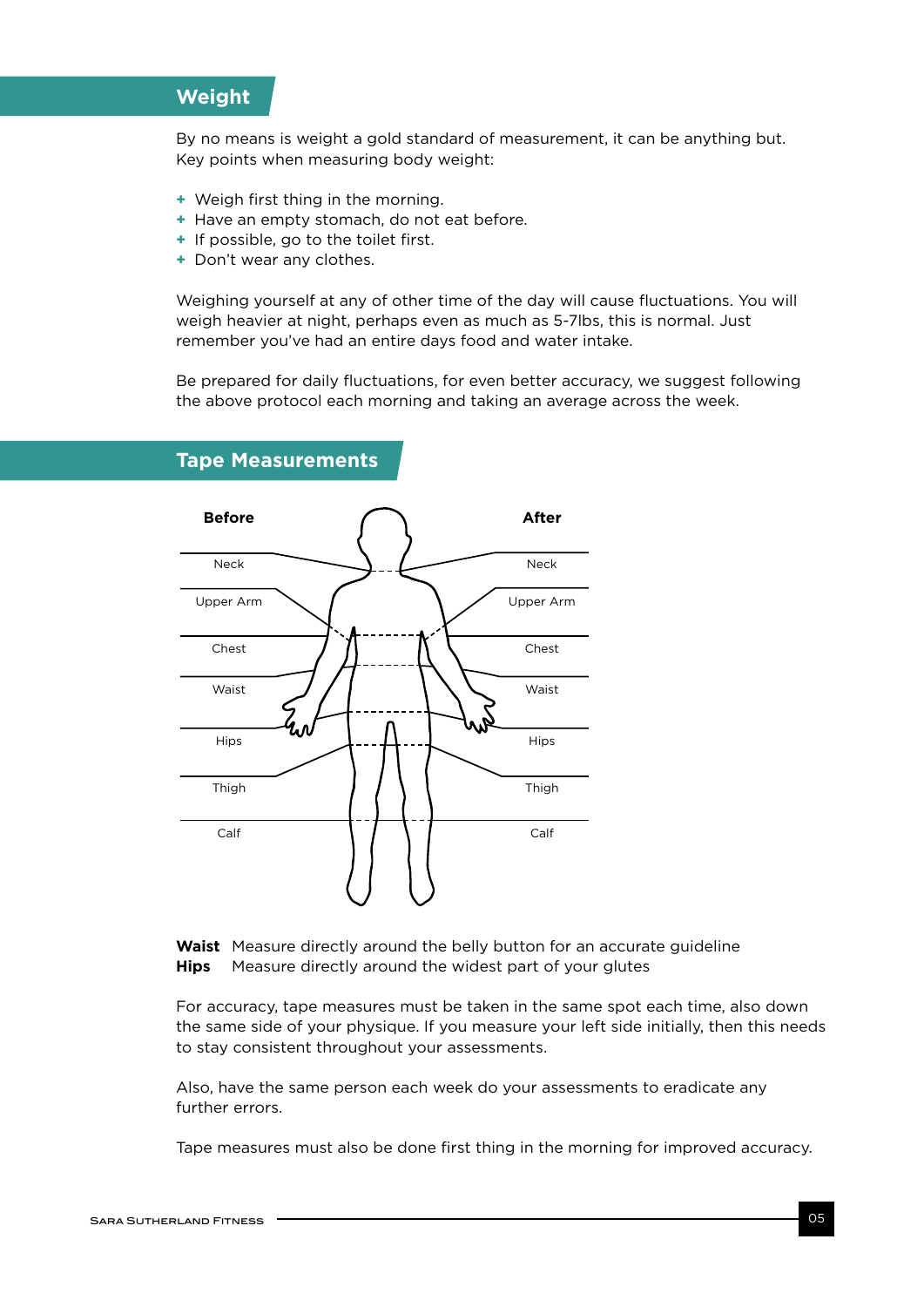# **Weight**

By no means is weight a gold standard of measurement, it can be anything but. Key points when measuring body weight:

- **+** Weigh first thing in the morning.
- **+** Have an empty stomach, do not eat before.
- **+** If possible, go to the toilet first.
- **+** Don't wear any clothes.

Weighing yourself at any of other time of the day will cause fluctuations. You will weigh heavier at night, perhaps even as much as 5-7lbs, this is normal. Just remember you've had an entire days food and water intake.

Be prepared for daily fluctuations, for even better accuracy, we suggest following the above protocol each morning and taking an average across the week.



#### **Tape Measurements**

**Waist** Measure directly around the belly button for an accurate guideline **Hips** Measure directly around the widest part of your glutes

For accuracy, tape measures must be taken in the same spot each time, also down the same side of your physique. If you measure your left side initially, then this needs to stay consistent throughout your assessments.

Also, have the same person each week do your assessments to eradicate any further errors.

Tape measures must also be done first thing in the morning for improved accuracy.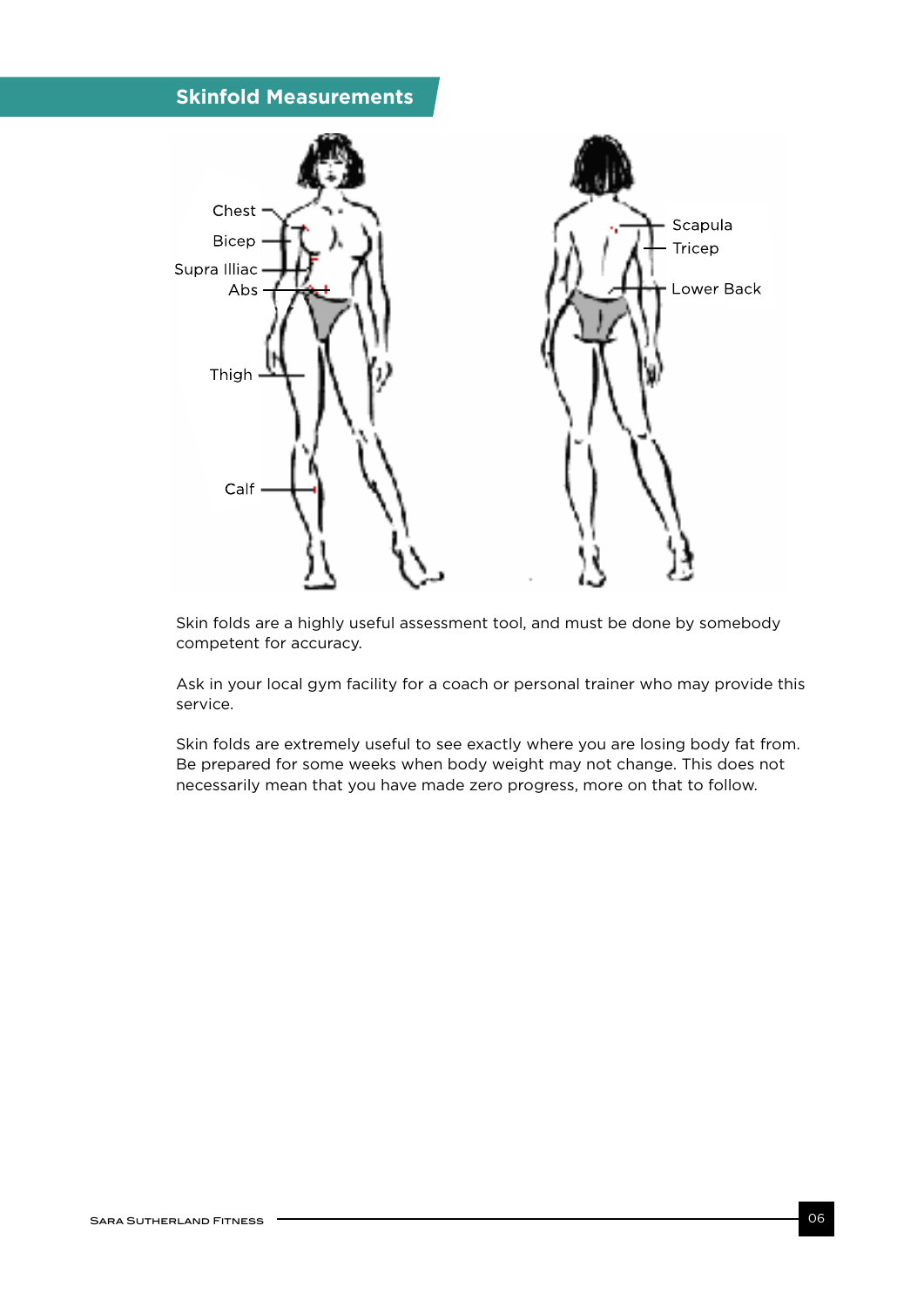# **Skinfold Measurements**



Skin folds are a highly useful assessment tool, and must be done by somebody competent for accuracy.

Ask in your local gym facility for a coach or personal trainer who may provide this service.

Skin folds are extremely useful to see exactly where you are losing body fat from. Skin folds are extremely useful to see exactly where you are losing body fat fron<br>Be prepared for some weeks when body weight may not change. This does not necessarily mean that you have made zero progress, more on that to follow.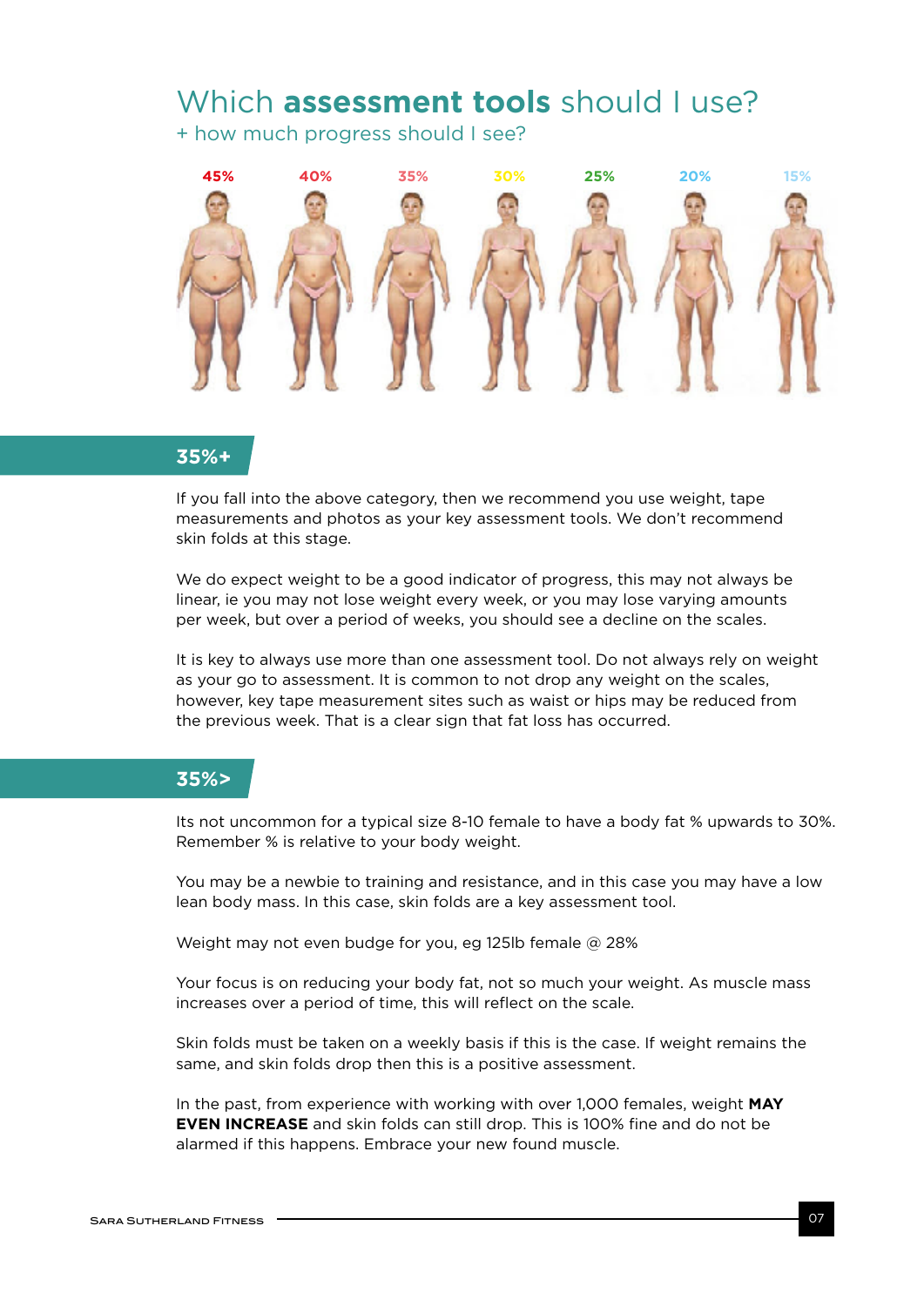# Which **assessment tools** should I use?

+ how much progress should I see?



# **35%+** *Females at 30%+*

If you fall into the above category, then we recommend you use weight, tape measurements and photos as your key assessment tools. We don't recommend skin folds at this stage.

We do expect weight to be a good indicator of progress, this may not always be linear, ie you may not lose weight every week, or you may lose varying amounts per week, but over a period of weeks, you should see a decline on the scales.

It is key to always use more than one assessment tool. Do not always rely on weight as your go to assessment. It is common to not drop any weight on the scales, however, key tape measurement sites such as waist or hips may be reduced from the previous week. That is a clear sign that fat loss has occurred.

#### **35%>**

Its not uncommon for a typical size 8-10 female to have a body fat % upwards to 30%. Remember % is relative to your body weight.

You may be a newbie to training and resistance, and in this case you may have a low lean body mass. In this case, skin folds are a key assessment tool.

Weight may not even budge for you, eg 125lb female @ 28%

Your focus is on reducing your body fat, not so much your weight. As muscle mass increases over a period of time, this will reflect on the scale.

Skin folds must be taken on a weekly basis if this is the case. If weight remains the same, and skin folds drop then this is a positive assessment.

In the past, from experience with working with over 1,000 females, weight **MAY EVEN INCREASE** and skin folds can still drop. This is 100% fine and do not be alarmed if this happens. Embrace your new found muscle.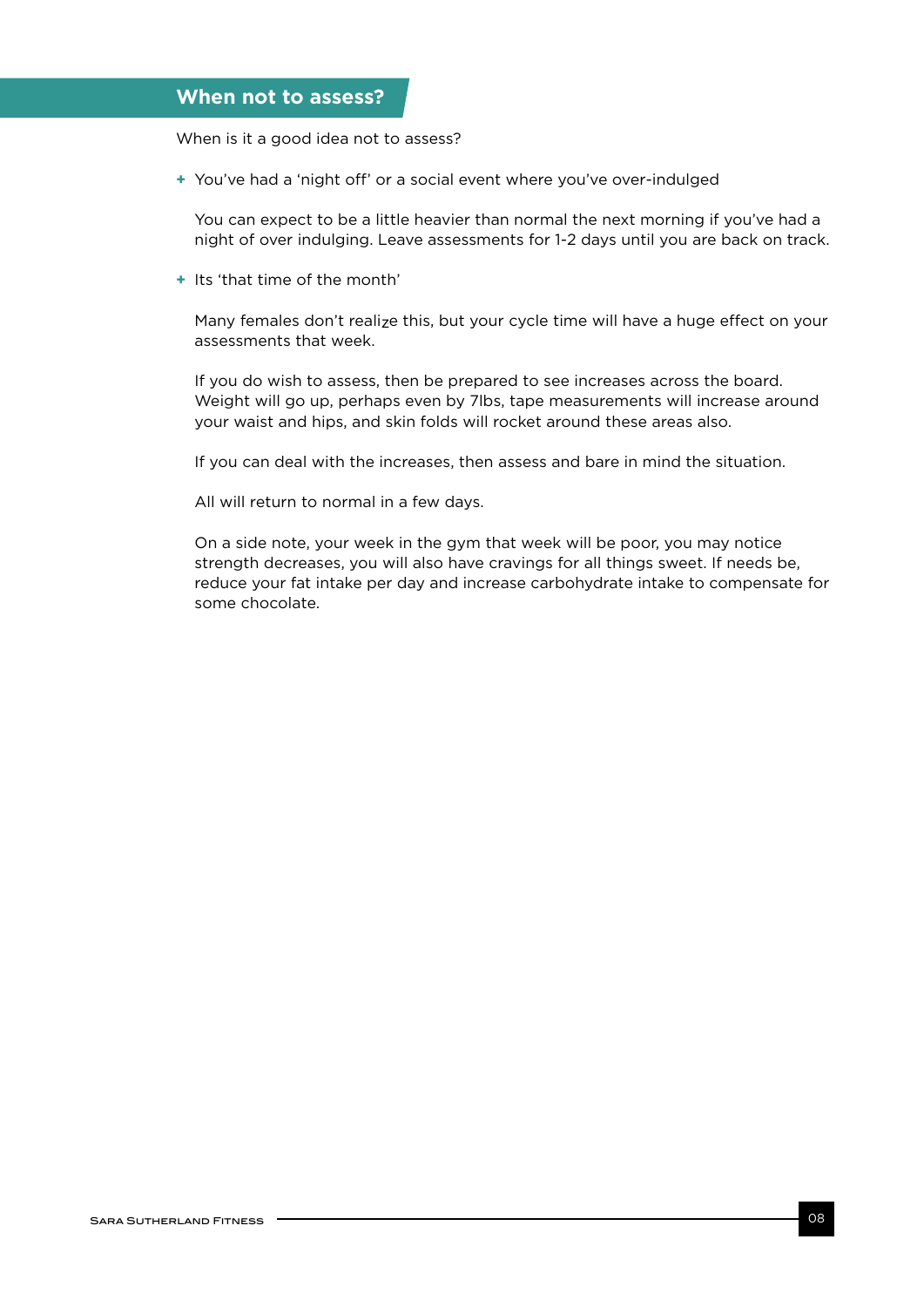## **When not to assess?**

When is it a good idea not to assess?

**+** You've had a 'night off' or a social event where you've over-indulged

You can expect to be a little heavier than normal the next morning if you've had a night of over indulging. Leave assessments for 1-2 days until you are back on track.

**+** Its 'that time of the month'

Many females don't reali<sub>z</sub>e this, but your cycle time will have a huge effect on your assessments that week.

If you do wish to assess, then be prepared to see increases across the board. Weight will go up, perhaps even by 7lbs, tape measurements will increase around your waist and hips, and skin folds will rocket around these areas also.

If you can deal with the increases, then assess and bare in mind the situation.

All will return to normal in a few days.

On a side note, your week in the gym that week will be poor, you may notice strength decreases, you will also have cravings for all things sweet. If needs be, reduce your fat intake per day and increase carbohydrate intake to compensate for some chocolate.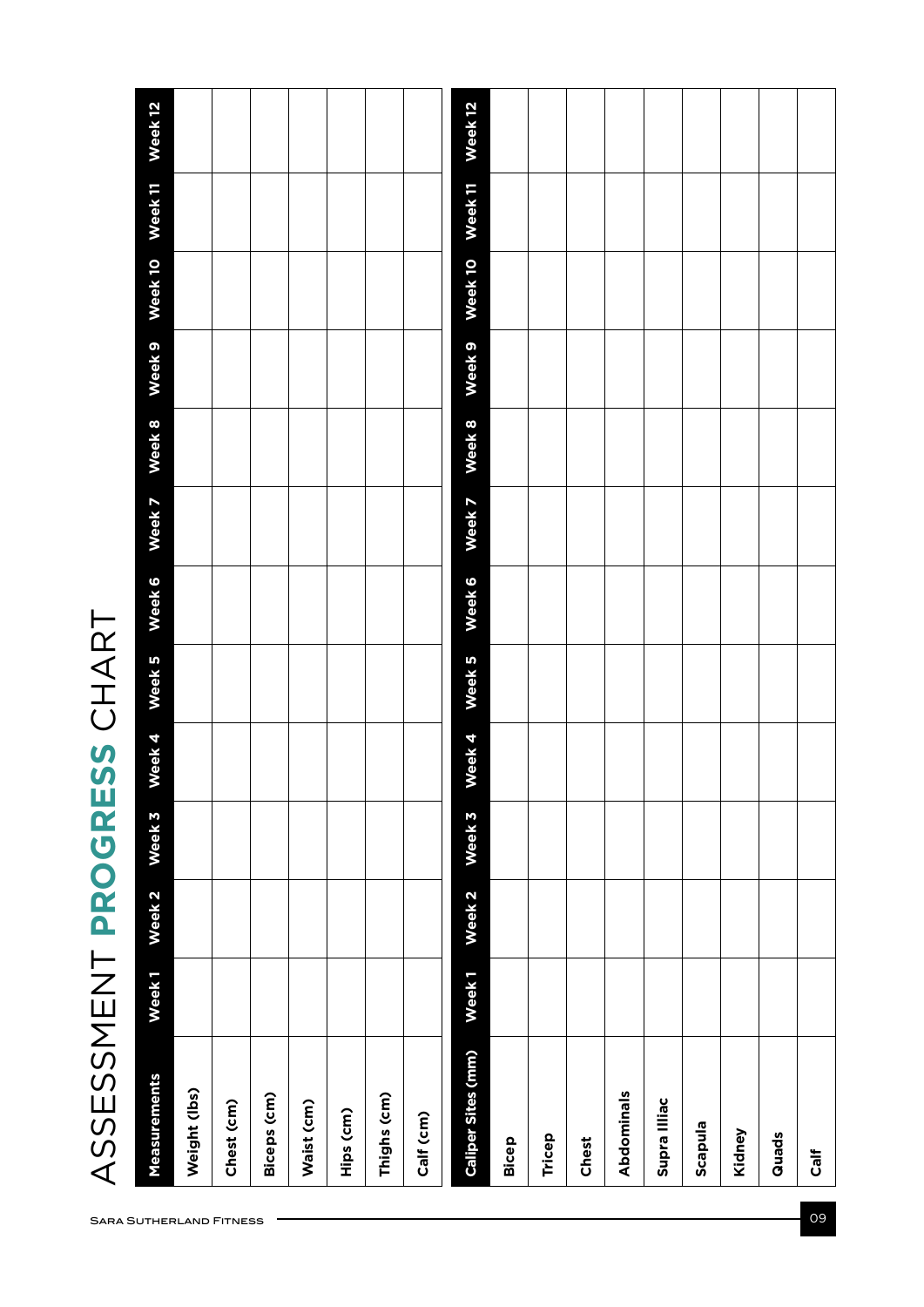ASSESSMENT PROGRESS CHART ASSESSMENT **PROGRESS** CHART

| <b>Measurements</b>       | Week <sub>1</sub> | Week <sub>2</sub> | Week 3 | Week 4 | Week 5 | Week 6 | Week 7 | Week 8 | Week <sub>9</sub> | Week 10 | Week <sub>11</sub> | Week 12 |
|---------------------------|-------------------|-------------------|--------|--------|--------|--------|--------|--------|-------------------|---------|--------------------|---------|
| Weight (lbs)              |                   |                   |        |        |        |        |        |        |                   |         |                    |         |
| Chest (cm)                |                   |                   |        |        |        |        |        |        |                   |         |                    |         |
| <b>Biceps (cm)</b>        |                   |                   |        |        |        |        |        |        |                   |         |                    |         |
| Waist (cm)                |                   |                   |        |        |        |        |        |        |                   |         |                    |         |
| Hips (cm)                 |                   |                   |        |        |        |        |        |        |                   |         |                    |         |
| Thighs (cm)               |                   |                   |        |        |        |        |        |        |                   |         |                    |         |
| Calf (cm)                 |                   |                   |        |        |        |        |        |        |                   |         |                    |         |
| <b>Caliper Sites (mm)</b> | Week <sub>1</sub> | Week <sub>2</sub> | Week 3 | Week 4 | Week 5 | Week 6 | Week 7 | Week 8 | Week <sub>9</sub> | Week 10 | Week <sub>11</sub> | Week 12 |
| Bicep                     |                   |                   |        |        |        |        |        |        |                   |         |                    |         |
| Tricep                    |                   |                   |        |        |        |        |        |        |                   |         |                    |         |
| Chest                     |                   |                   |        |        |        |        |        |        |                   |         |                    |         |
| Abdominals                |                   |                   |        |        |        |        |        |        |                   |         |                    |         |
| Supra Illiac              |                   |                   |        |        |        |        |        |        |                   |         |                    |         |
| Scapula                   |                   |                   |        |        |        |        |        |        |                   |         |                    |         |
| Kidney                    |                   |                   |        |        |        |        |        |        |                   |         |                    |         |
| Quads                     |                   |                   |        |        |        |        |        |        |                   |         |                    |         |
| Calf                      |                   |                   |        |        |        |        |        |        |                   |         |                    |         |